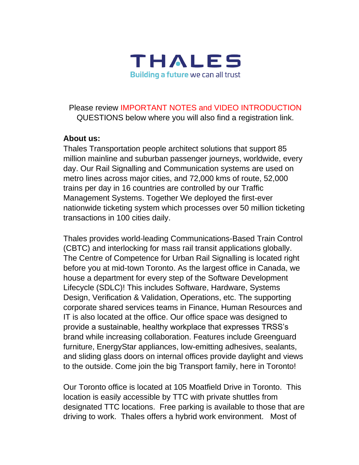

## Please review IMPORTANT NOTES and VIDEO INTRODUCTION QUESTIONS below where you will also find a registration link.

## **About us:**

Thales Transportation people architect solutions that support 85 million mainline and suburban passenger journeys, worldwide, every day. Our Rail Signalling and Communication systems are used on metro lines across major cities, and 72,000 kms of route, 52,000 trains per day in 16 countries are controlled by our Traffic Management Systems. Together We deployed the first-ever nationwide ticketing system which processes over 50 million ticketing transactions in 100 cities daily.

Thales provides world-leading Communications-Based Train Control (CBTC) and interlocking for mass rail transit applications globally. The Centre of Competence for Urban Rail Signalling is located right before you at mid-town Toronto. As the largest office in Canada, we house a department for every step of the Software Development Lifecycle (SDLC)! This includes Software, Hardware, Systems Design, Verification & Validation, Operations, etc. The supporting corporate shared services teams in Finance, Human Resources and IT is also located at the office. Our office space was designed to provide a sustainable, healthy workplace that expresses TRSS's brand while increasing collaboration. Features include Greenguard furniture, EnergyStar appliances, low-emitting adhesives, sealants, and sliding glass doors on internal offices provide daylight and views to the outside. Come join the big Transport family, here in Toronto!

Our Toronto office is located at 105 Moatfield Drive in Toronto. This location is easily accessible by TTC with private shuttles from designated TTC locations. Free parking is available to those that are driving to work. Thales offers a hybrid work environment. Most of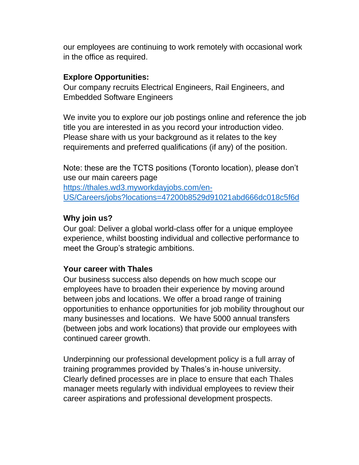our employees are continuing to work remotely with occasional work in the office as required.

## **Explore Opportunities:**

Our company recruits Electrical Engineers, Rail Engineers, and Embedded Software Engineers

We invite you to explore our job postings online and reference the job title you are interested in as you record your introduction video. Please share with us your background as it relates to the key requirements and preferred qualifications (if any) of the position.

Note: these are the TCTS positions (Toronto location), please don't use our main careers page [https://thales.wd3.myworkdayjobs.com/en-](https://thales.wd3.myworkdayjobs.com/en-US/Careers/jobs?locations=47200b8529d91021abd666dc018c5f6d)[US/Careers/jobs?locations=47200b8529d91021abd666dc018c5f6d](https://thales.wd3.myworkdayjobs.com/en-US/Careers/jobs?locations=47200b8529d91021abd666dc018c5f6d)

# **Why join us?**

Our goal: Deliver a global world-class offer for a unique employee experience, whilst boosting individual and collective performance to meet the Group's strategic ambitions.

## **Your career with Thales**

Our business success also depends on how much scope our employees have to broaden their experience by moving around between jobs and locations. We offer a broad range of training opportunities to enhance opportunities for job mobility throughout our many businesses and locations. We have 5000 annual transfers (between jobs and work locations) that provide our employees with continued career growth.

Underpinning our professional development policy is a full array of training programmes provided by Thales's in-house university. Clearly defined processes are in place to ensure that each Thales manager meets regularly with individual employees to review their career aspirations and professional development prospects.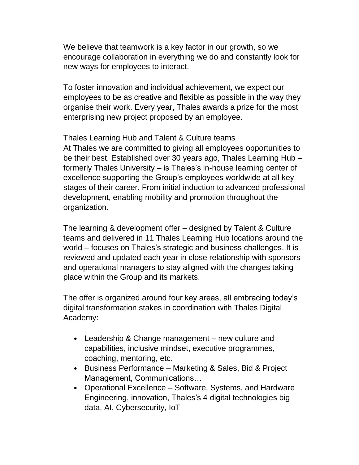We believe that teamwork is a key factor in our growth, so we encourage collaboration in everything we do and constantly look for new ways for employees to interact.

To foster innovation and individual achievement, we expect our employees to be as creative and flexible as possible in the way they organise their work. Every year, Thales awards a prize for the most enterprising new project proposed by an employee.

Thales Learning Hub and Talent & Culture teams At Thales we are committed to giving all employees opportunities to be their best. Established over 30 years ago, Thales Learning Hub – formerly Thales University – is Thales's in-house learning center of excellence supporting the Group's employees worldwide at all key stages of their career. From initial induction to advanced professional development, enabling mobility and promotion throughout the organization.

The learning & development offer – designed by Talent & Culture teams and delivered in 11 Thales Learning Hub locations around the world – focuses on Thales's strategic and business challenges. It is reviewed and updated each year in close relationship with sponsors and operational managers to stay aligned with the changes taking place within the Group and its markets.

The offer is organized around four key areas, all embracing today's digital transformation stakes in coordination with Thales Digital Academy:

- Leadership & Change management new culture and capabilities, inclusive mindset, executive programmes, coaching, mentoring, etc.
- Business Performance Marketing & Sales, Bid & Project Management, Communications…
- Operational Excellence Software, Systems, and Hardware Engineering, innovation, Thales's 4 digital technologies big data, AI, Cybersecurity, IoT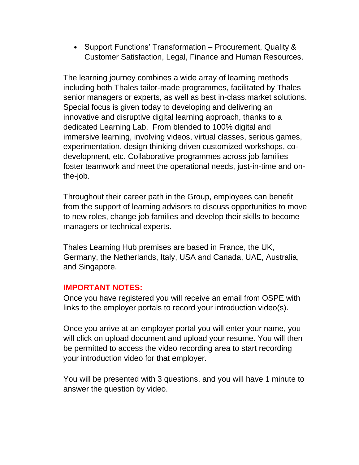• Support Functions' Transformation – Procurement, Quality & Customer Satisfaction, Legal, Finance and Human Resources.

The learning journey combines a wide array of learning methods including both Thales tailor-made programmes, facilitated by Thales senior managers or experts, as well as best in-class market solutions. Special focus is given today to developing and delivering an innovative and disruptive digital learning approach, thanks to a dedicated Learning Lab. From blended to 100% digital and immersive learning, involving videos, virtual classes, serious games, experimentation, design thinking driven customized workshops, codevelopment, etc. Collaborative programmes across job families foster teamwork and meet the operational needs, just-in-time and onthe-job.

Throughout their career path in the Group, employees can benefit from the support of learning advisors to discuss opportunities to move to new roles, change job families and develop their skills to become managers or technical experts.

Thales Learning Hub premises are based in France, the UK, Germany, the Netherlands, Italy, USA and Canada, UAE, Australia, and Singapore.

#### **IMPORTANT NOTES:**

Once you have registered you will receive an email from OSPE with links to the employer portals to record your introduction video(s).

Once you arrive at an employer portal you will enter your name, you will click on upload document and upload your resume. You will then be permitted to access the video recording area to start recording your introduction video for that employer.

You will be presented with 3 questions, and you will have 1 minute to answer the question by video.